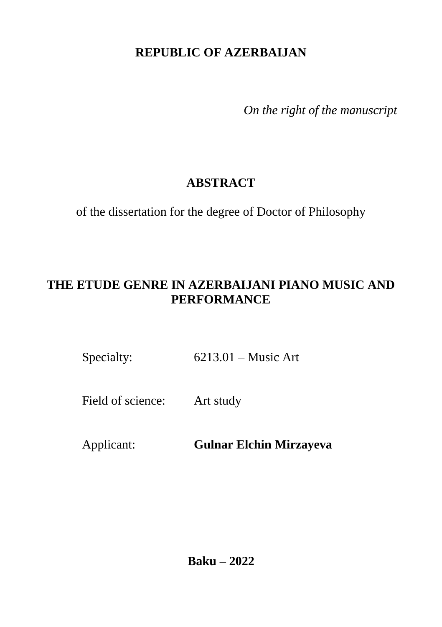# **REPUBLIC OF AZERBAIJAN**

*On the right of the manuscript*

# **ABSTRACT**

of the dissertation for the degree of Doctor of Philosophy

# **THE ETUDE GENRE IN AZERBAIJANI PIANO MUSIC AND PERFORMANCE**

Specialty: 6213.01 – Music Art

Field of science: Art study

Applicant: **Gulnar Elchin Mirzayeva**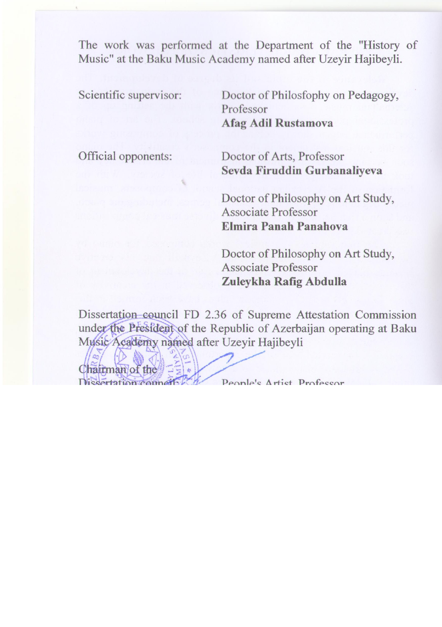The work was performed at the Department of the "History of Music" at the Baku Music Academy named after Uzeyir Hajibeyli.

| Scientific supervisor: | Doctor of Philosfophy on Pedagogy,<br>Professor<br>Afag Adil Rustamova              |
|------------------------|-------------------------------------------------------------------------------------|
| Official opponents:    | Doctor of Arts, Professor<br>Sevda Firuddin Gurbanaliyeva                           |
|                        | Doctor of Philosophy on Art Study,<br>Associate Professor<br>Elmira Panah Panahova  |
|                        | Doctor of Philosophy on Art Study,<br>Associate Professor<br>Zuleykha Rafig Abdulla |

Dissertation council FD 2.36 of Supreme Attestation Commission under the President of the Republic of Azerbaijan operating at Baku Music Academy named after Uzeyir Hajibeyli

| Chairman of the<br>Dissertation council: | People's Artist, Professor<br><b>Farhad Shamsi Badalbeyli</b> |
|------------------------------------------|---------------------------------------------------------------|
| Scientific secretary of the              |                                                               |
| Dissertation council:                    | Doctor of philosophy on Art Study,<br>Associate professor     |
|                                          | Leyla Ramiz Zohrabova                                         |
| Chairman of the                          |                                                               |
| scientific seminar:                      | Doctor of Arts, Professor                                     |
|                                          | <b>Imruz Mammad Sadikh Afandiyeva</b>                         |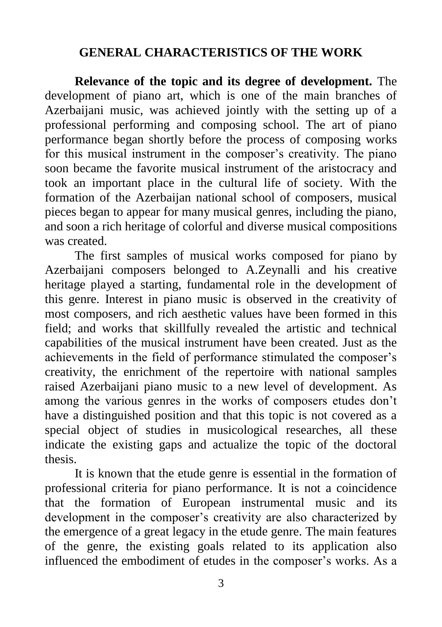### **GENERAL CHARACTERISTICS OF THE WORK**

**Relevance of the topic and its degree of development.** The development of piano art, which is one of the main branches of Azerbaijani music, was achieved jointly with the setting up of a professional performing and composing school. The art of piano performance began shortly before the process of composing works for this musical instrument in the composer's creativity. The piano soon became the favorite musical instrument of the aristocracy and took an important place in the cultural life of society. With the formation of the Azerbaijan national school of composers, musical pieces began to appear for many musical genres, including the piano, and soon a rich heritage of colorful and diverse musical compositions was created.

The first samples of musical works composed for piano by Azerbaijani composers belonged to A.Zeynalli and his creative heritage played a starting, fundamental role in the development of this genre. Interest in piano music is observed in the creativity of most composers, and rich aesthetic values have been formed in this field; and works that skillfully revealed the artistic and technical capabilities of the musical instrument have been created. Just as the achievements in the field of performance stimulated the composer"s creativity, the enrichment of the repertoire with national samples raised Azerbaijani piano music to a new level of development. As among the various genres in the works of composers etudes don"t have a distinguished position and that this topic is not covered as a special object of studies in musicological researches, all these indicate the existing gaps and actualize the topic of the doctoral thesis.

It is known that the etude genre is essential in the formation of professional criteria for piano performance. It is not a coincidence that the formation of European instrumental music and its development in the composer's creativity are also characterized by the emergence of a great legacy in the etude genre. The main features of the genre, the existing goals related to its application also influenced the embodiment of etudes in the composer's works. As a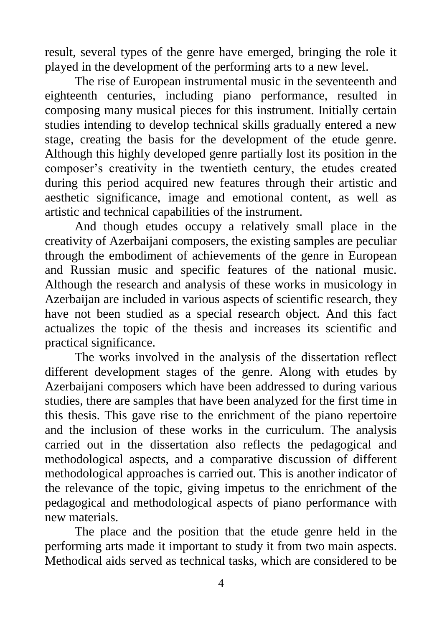result, several types of the genre have emerged, bringing the role it played in the development of the performing arts to a new level.

The rise of European instrumental music in the seventeenth and eighteenth centuries, including piano performance, resulted in composing many musical pieces for this instrument. Initially certain studies intending to develop technical skills gradually entered a new stage, creating the basis for the development of the etude genre. Although this highly developed genre partially lost its position in the composer"s creativity in the twentieth century, the etudes created during this period acquired new features through their artistic and aesthetic significance, image and emotional content, as well as artistic and technical capabilities of the instrument.

And though etudes occupy a relatively small place in the creativity of Azerbaijani composers, the existing samples are peculiar through the embodiment of achievements of the genre in European and Russian music and specific features of the national music. Although the research and analysis of these works in musicology in Azerbaijan are included in various aspects of scientific research, they have not been studied as a special research object. And this fact actualizes the topic of the thesis and increases its scientific and practical significance.

The works involved in the analysis of the dissertation reflect different development stages of the genre. Along with etudes by Azerbaijani composers which have been addressed to during various studies, there are samples that have been analyzed for the first time in this thesis. This gave rise to the enrichment of the piano repertoire and the inclusion of these works in the curriculum. The analysis carried out in the dissertation also reflects the pedagogical and methodological aspects, and a comparative discussion of different methodological approaches is carried out. This is another indicator of the relevance of the topic, giving impetus to the enrichment of the pedagogical and methodological aspects of piano performance with new materials.

The place and the position that the etude genre held in the performing arts made it important to study it from two main aspects. Methodical aids served as technical tasks, which are considered to be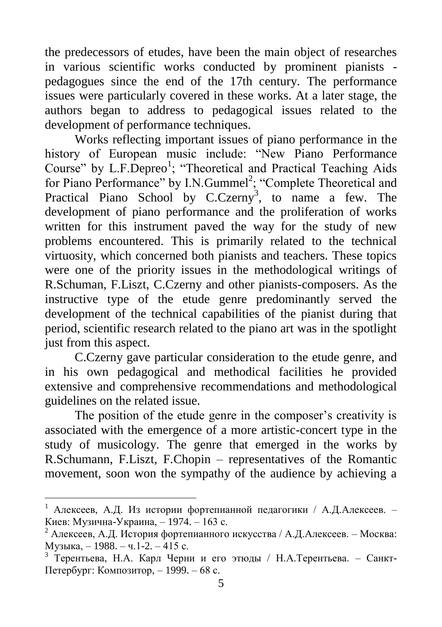the predecessors of etudes, have been the main object of researches in various scientific works conducted by prominent pianists pedagogues since the end of the 17th century. The performance issues were particularly covered in these works. At a later stage, the authors began to address to pedagogical issues related to the development of performance techniques.

Works reflecting important issues of piano performance in the history of European music include: "New Piano Performance Course" by L.F.Depreo<sup>1</sup>; "Theoretical and Practical Teaching Aids for Piano Performance" by I.N.Gummel<sup>2</sup>; "Complete Theoretical and Practical Piano School by C.Czerny<sup>3</sup>, to name a few. The development of piano performance and the proliferation of works written for this instrument paved the way for the study of new problems encountered. This is primarily related to the technical virtuosity, which concerned both pianists and teachers. These topics were one of the priority issues in the methodological writings of R.Schuman, F.Liszt, C.Czerny and other pianists-composers. As the instructive type of the etude genre predominantly served the development of the technical capabilities of the pianist during that period, scientific research related to the piano art was in the spotlight just from this aspect.

C.Czerny gave particular consideration to the etude genre, and in his own pedagogical and methodical facilities he provided extensive and comprehensive recommendations and methodological guidelines on the related issue.

The position of the etude genre in the composer's creativity is associated with the emergence of a more artistic-concert type in the study of musicology. The genre that emerged in the works by R.Schumann, F.Liszt, F.Chopin – representatives of the Romantic movement, soon won the sympathy of the audience by achieving a

<sup>&</sup>lt;sup>1</sup> Алексеев, А.Д. Из истории фортепианной педагогики / А.Д.Алексеев. – Киев: Музична-Украина, – 1974. – 163 с.

<sup>&</sup>lt;sup>2</sup> Алексеев, А.Д. История фортепианного искусства / А.Д.Алексеев. – Москва: Музыка, – 1988. – ч.1-2. – 415 с.

<sup>3</sup> Терентьева, Н.А. Карл Черни и его этюды / Н.А.Терентьева. – Санкт-Петербург: Композитор, – 1999. – 68 с.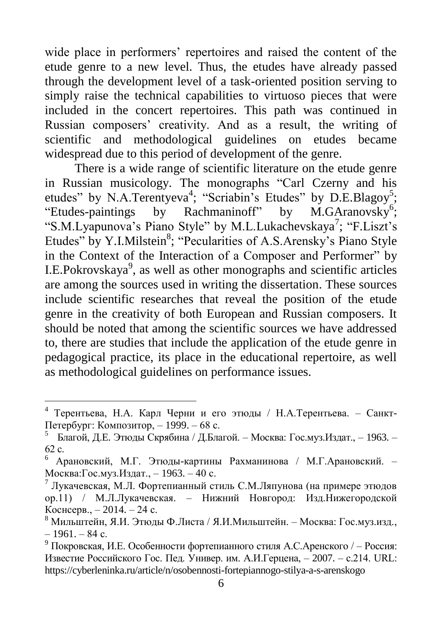wide place in performers' repertoires and raised the content of the etude genre to a new level. Thus, the etudes have already passed through the development level of a task-oriented position serving to simply raise the technical capabilities to virtuoso pieces that were included in the concert repertoires. This path was continued in Russian composers" creativity. And as a result, the writing of scientific and methodological guidelines on etudes became widespread due to this period of development of the genre.

There is a wide range of scientific literature on the etude genre in Russian musicology. The monographs "Carl Czerny and his etudes" by N.A.Terentyeva<sup>4</sup>; "Scriabin's Etudes" by D.E.Blagoy<sup>5</sup>; "Etudes-paintings by Rachmaninoff" by  $M.GA ranovsky<sup>6</sup>$ ; "S.M.Lyapunova's Piano Style" by M.L.Lukachevskaya<sup>7</sup>; "F.Liszt's Etudes" by Y.I.Milstein<sup>8</sup>; "Pecularities of A.S.Arensky's Piano Style in the Context of the Interaction of a Composer and Performer" by I.E.Pokrovskaya<sup>9</sup>, as well as other monographs and scientific articles are among the sources used in writing the dissertation. These sources include scientific researches that reveal the position of the etude genre in the creativity of both European and Russian composers. It should be noted that among the scientific sources we have addressed to, there are studies that include the application of the etude genre in pedagogical practice, its place in the educational repertoire, as well as methodological guidelines on performance issues.

<sup>4</sup> Терентьева, Н.А. Карл Черни и его этюды / Н.А.Терентьева. – Санкт-Петербург: Композитор, – 1999. – 68 с.

<sup>&</sup>lt;sup>5</sup> Благой, Д.Е. Этюды Скрябина / Д.Благой. – Москва: Гос.муз.Издат., – 1963. – 62 с.

<sup>6</sup> Арановский, М.Г. Этюды-картины Рахманинова / М.Г.Арановский. – Москва:Гос.муз.Издат., – 1963. – 40 с.

 $7$  Лукачевская, М.Л. Фортепианный стиль С.М.Ляпунова (на примере этюдов ор.11) / М.Л.Лукачевская. – Нижний Новгород: Изд.Нижегородской Коснсерв., – 2014. – 24 с.

 $8$  Мильштейн, Я.И. Этюды Ф.Листа / Я.И.Мильштейн. – Москва: Гос.муз.изд.,  $-1961 - 84$  c.

<sup>9</sup> Покровская, И.Е. Особенности фортепианного стиля А.С.Аренского / – Россия: Известие Российского Гос. Пед. Универ. им. А.И.Герцена, – 2007. – с.214. URL: https://cyberleninka.ru/article/n/osobennosti-fortepiannogo-stilya-a-s-arenskogo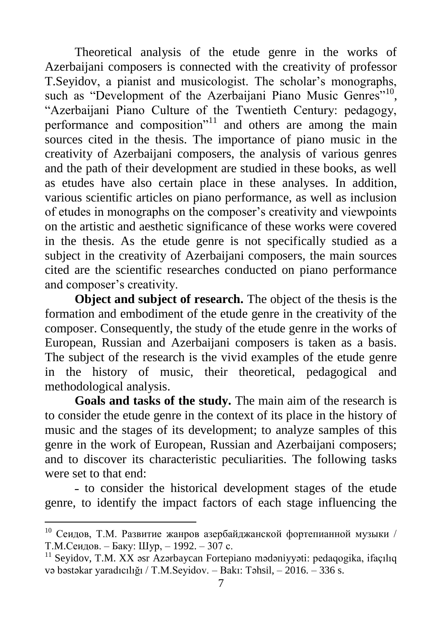Theoretical analysis of the etude genre in the works of Azerbaijani composers is connected with the creativity of professor T.Seyidov, a pianist and musicologist. The scholar"s monographs, such as "Development of the Azerbaijani Piano Music Genres"<sup>10</sup>, "Azerbaijani Piano Culture of the Twentieth Century: pedagogy, performance and composition $11$  and others are among the main sources cited in the thesis. The importance of piano music in the creativity of Azerbaijani composers, the analysis of various genres and the path of their development are studied in these books, as well as etudes have also certain place in these analyses. In addition, various scientific articles on piano performance, as well as inclusion of etudes in monographs on the composer"s creativity and viewpoints on the artistic and aesthetic significance of these works were covered in the thesis. As the etude genre is not specifically studied as a subject in the creativity of Azerbaijani composers, the main sources cited are the scientific researches conducted on piano performance and composer's creativity.

**Object and subject of research.** The object of the thesis is the formation and embodiment of the etude genre in the creativity of the composer. Consequently, the study of the etude genre in the works of European, Russian and Azerbaijani composers is taken as a basis. The subject of the research is the vivid examples of the etude genre in the history of music, their theoretical, pedagogical and methodological analysis.

**Goals and tasks of the study.** The main aim of the research is to consider the etude genre in the context of its place in the history of music and the stages of its development; to analyze samples of this genre in the work of European, Russian and Azerbaijani composers; and to discover its characteristic peculiarities. The following tasks were set to that end:

˗ to consider the historical development stages of the etude genre, to identify the impact factors of each stage influencing the

 $\overline{a}$ 

 $10$  Сеидов, Т.М. Развитие жанров азербайджанской фортепианной музыки / Т.M.Сеидов. – Баку: Шур, – 1992. – 307 с.

<sup>&</sup>lt;sup>11</sup> Seyidov, T.M. XX əsr Azərbaycan Fortepiano mədəniyyəti: pedaqogika, ifaçılıq və bəstəkar yaradıcılığı / T.M.Seyidov. – Bakı: Təhsil, – 2016. – 336 s.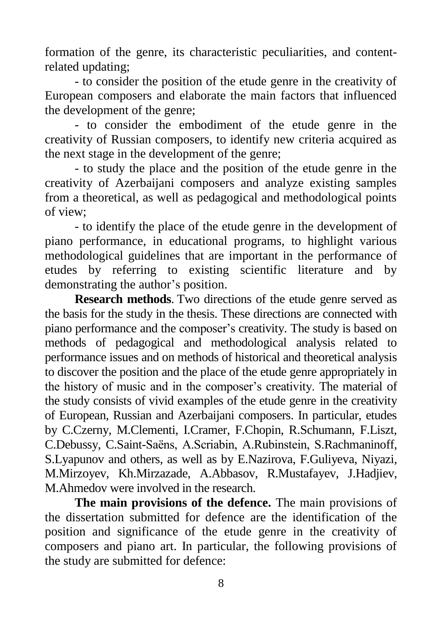formation of the genre, its characteristic peculiarities, and contentrelated updating;

- to consider the position of the etude genre in the creativity of European composers and elaborate the main factors that influenced the development of the genre;

- to consider the embodiment of the etude genre in the creativity of Russian composers, to identify new criteria acquired as the next stage in the development of the genre;

- to study the place and the position of the etude genre in the creativity of Azerbaijani composers and analyze existing samples from a theoretical, as well as pedagogical and methodological points of view;

- to identify the place of the etude genre in the development of piano performance, in educational programs, to highlight various methodological guidelines that are important in the performance of etudes by referring to existing scientific literature and by demonstrating the author"s position.

**Research methods**. Two directions of the etude genre served as the basis for the study in the thesis. These directions are connected with piano performance and the composer"s creativity. The study is based on methods of pedagogical and methodological analysis related to performance issues and on methods of historical and theoretical analysis to discover the position and the place of the etude genre appropriately in the history of music and in the composer"s creativity. The material of the study consists of vivid examples of the etude genre in the creativity of European, Russian and Azerbaijani composers. In particular, etudes by C.Czerny, M.Clementi, I.Cramer, F.Chopin, R.Schumann, F.Liszt, C.Debussy, C.Saint-Saëns, A.Scriabin, A.Rubinstein, S.Rachmaninoff, S.Lyapunov and others, as well as by E.Nazirova, F.Guliyeva, Niyazi, M.Mirzoyev, Kh.Mirzazade, A.Abbasov, R.Mustafayev, J.Hadjiev, M.Ahmedov were involved in the research.

**The main provisions of the defence.** The main provisions of the dissertation submitted for defence are the identification of the position and significance of the etude genre in the creativity of composers and piano art. In particular, the following provisions of the study are submitted for defence: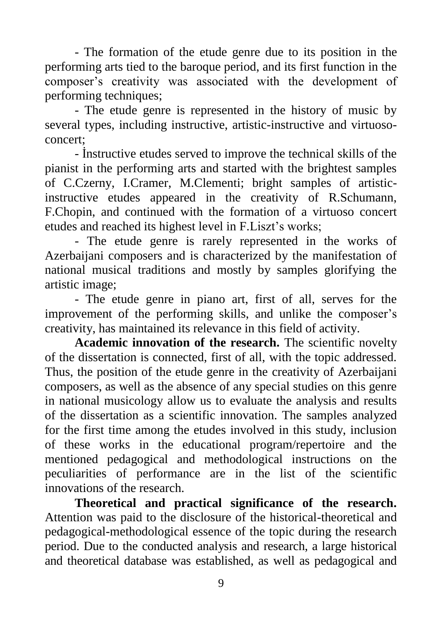- The formation of the etude genre due to its position in the performing arts tied to the baroque period, and its first function in the composer"s creativity was associated with the development of performing techniques;

- The etude genre is represented in the history of music by several types, including instructive, artistic-instructive and virtuosoconcert;

- İnstructive etudes served to improve the technical skills of the pianist in the performing arts and started with the brightest samples of C.Czerny, I.Cramer, M.Clementi; bright samples of artisticinstructive etudes appeared in the creativity of R.Schumann, F.Chopin, and continued with the formation of a virtuoso concert etudes and reached its highest level in F.Liszt"s works;

- The etude genre is rarely represented in the works of Azerbaijani composers and is characterized by the manifestation of national musical traditions and mostly by samples glorifying the artistic image;

- The etude genre in piano art, first of all, serves for the improvement of the performing skills, and unlike the composer's creativity, has maintained its relevance in this field of activity.

**Academic innovation of the research.** The scientific novelty of the dissertation is connected, first of all, with the topic addressed. Thus, the position of the etude genre in the creativity of Azerbaijani composers, as well as the absence of any special studies on this genre in national musicology allow us to evaluate the analysis and results of the dissertation as a scientific innovation. The samples analyzed for the first time among the etudes involved in this study, inclusion of these works in the educational program/repertoire and the mentioned pedagogical and methodological instructions on the peculiarities of performance are in the list of the scientific innovations of the research.

**Theoretical and practical significance of the research.** Attention was paid to the disclosure of the historical-theoretical and pedagogical-methodological essence of the topic during the research period. Due to the conducted analysis and research, a large historical and theoretical database was established, as well as pedagogical and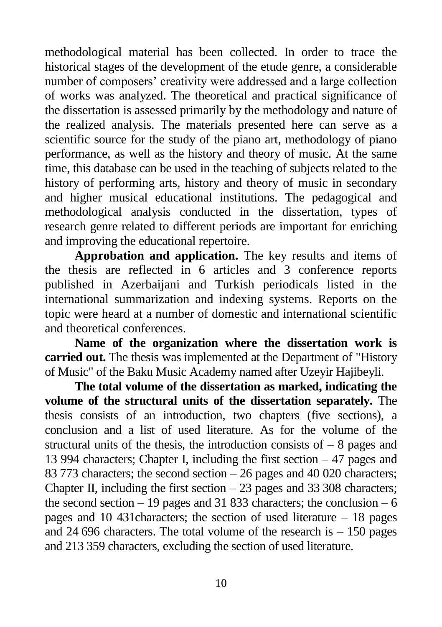methodological material has been collected. In order to trace the historical stages of the development of the etude genre, a considerable number of composers' creativity were addressed and a large collection of works was analyzed. The theoretical and practical significance of the dissertation is assessed primarily by the methodology and nature of the realized analysis. The materials presented here can serve as a scientific source for the study of the piano art, methodology of piano performance, as well as the history and theory of music. At the same time, this database can be used in the teaching of subjects related to the history of performing arts, history and theory of music in secondary and higher musical educational institutions. The pedagogical and methodological analysis conducted in the dissertation, types of research genre related to different periods are important for enriching and improving the educational repertoire.

**Approbation and application.** The key results and items of the thesis are reflected in 6 articles and 3 conference reports published in Azerbaijani and Turkish periodicals listed in the international summarization and indexing systems. Reports on the topic were heard at a number of domestic and international scientific and theoretical conferences.

**Name of the organization where the dissertation work is carried out.** The thesis was implemented at the Department of "History of Music" of the Baku Music Academy named after Uzeyir Hajibeyli.

**The total volume of the dissertation as marked, indicating the volume of the structural units of the dissertation separately.** The thesis consists of an introduction, two chapters (five sections), a conclusion and a list of used literature. As for the volume of the structural units of the thesis, the introduction consists of  $-8$  pages and 13 994 characters; Chapter I, including the first section – 47 pages and 83 773 characters; the second section – 26 pages and 40 020 characters; Chapter II, including the first section  $-23$  pages and 33 308 characters; the second section – 19 pages and 31 833 characters; the conclusion –  $6$ pages and 10 431characters; the section of used literature – 18 pages and 24 696 characters. The total volume of the research is  $-150$  pages and 213 359 characters, excluding the section of used literature.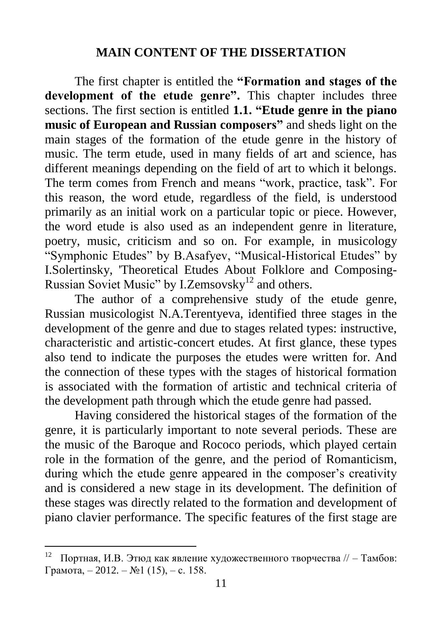#### **MAIN CONTENT OF THE DISSERTATION**

The first chapter is entitled the **"Formation and stages of the development of the etude genre".** This chapter includes three sections. The first section is entitled **1.1. "Etude genre in the piano music of European and Russian composers"** and sheds light on the main stages of the formation of the etude genre in the history of music. The term etude, used in many fields of art and science, has different meanings depending on the field of art to which it belongs. The term comes from French and means "work, practice, task". For this reason, the word etude, regardless of the field, is understood primarily as an initial work on a particular topic or piece. However, the word etude is also used as an independent genre in literature, poetry, music, criticism and so on. For example, in musicology "Symphonic Etudes" by B.Asafyev, "Musical-Historical Etudes" by I.Solertinsky, 'Theoretical Etudes About Folklore and Composing-Russian Soviet Music" by I.Zemsovsky<sup>12</sup> and others.

The author of a comprehensive study of the etude genre, Russian musicologist N.A.Terentyeva, identified three stages in the development of the genre and due to stages related types: instructive, characteristic and artistic-concert etudes. At first glance, these types also tend to indicate the purposes the etudes were written for. And the connection of these types with the stages of historical formation is associated with the formation of artistic and technical criteria of the development path through which the etude genre had passed.

Having considered the historical stages of the formation of the genre, it is particularly important to note several periods. These are the music of the Baroque and Rococo periods, which played certain role in the formation of the genre, and the period of Romanticism, during which the etude genre appeared in the composer's creativity and is considered a new stage in its development. The definition of these stages was directly related to the formation and development of piano clavier performance. The specific features of the first stage are

<sup>12</sup> Портная, И.В. Этюд как явление художественного творчества // – Тамбов: Грамота,  $-2012. - N<sub>2</sub>1$  (15),  $- c. 158.$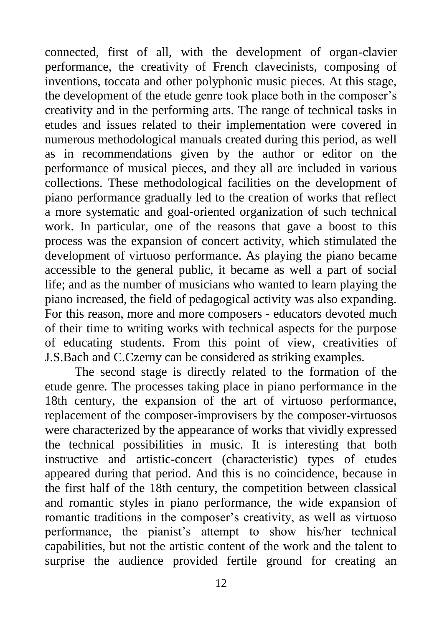connected, first of all, with the development of organ-clavier performance, the creativity of French clavecinists, composing of inventions, toccata and other polyphonic music pieces. At this stage, the development of the etude genre took place both in the composer"s creativity and in the performing arts. The range of technical tasks in etudes and issues related to their implementation were covered in numerous methodological manuals created during this period, as well as in recommendations given by the author or editor on the performance of musical pieces, and they all are included in various collections. These methodological facilities on the development of piano performance gradually led to the creation of works that reflect a more systematic and goal-oriented organization of such technical work. In particular, one of the reasons that gave a boost to this process was the expansion of concert activity, which stimulated the development of virtuoso performance. As playing the piano became accessible to the general public, it became as well a part of social life; and as the number of musicians who wanted to learn playing the piano increased, the field of pedagogical activity was also expanding. For this reason, more and more composers - educators devoted much of their time to writing works with technical aspects for the purpose of educating students. From this point of view, creativities of J.S.Bach and C.Czerny can be considered as striking examples.

The second stage is directly related to the formation of the etude genre. The processes taking place in piano performance in the 18th century, the expansion of the art of virtuoso performance, replacement of the composer-improvisers by the composer-virtuosos were characterized by the appearance of works that vividly expressed the technical possibilities in music. It is interesting that both instructive and artistic-concert (characteristic) types of etudes appeared during that period. And this is no coincidence, because in the first half of the 18th century, the competition between classical and romantic styles in piano performance, the wide expansion of romantic traditions in the composer's creativity, as well as virtuoso performance, the pianist"s attempt to show his/her technical capabilities, but not the artistic content of the work and the talent to surprise the audience provided fertile ground for creating an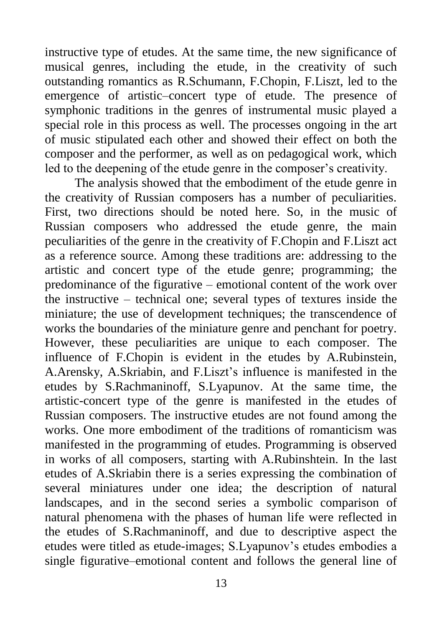instructive type of etudes. At the same time, the new significance of musical genres, including the etude, in the creativity of such outstanding romantics as R.Schumann, F.Chopin, F.Liszt, led to the emergence of artistic–concert type of etude. The presence of symphonic traditions in the genres of instrumental music played a special role in this process as well. The processes ongoing in the art of music stipulated each other and showed their effect on both the composer and the performer, as well as on pedagogical work, which led to the deepening of the etude genre in the composer's creativity.

The analysis showed that the embodiment of the etude genre in the creativity of Russian composers has a number of peculiarities. First, two directions should be noted here. So, in the music of Russian composers who addressed the etude genre, the main peculiarities of the genre in the creativity of F.Chopin and F.Liszt act as a reference source. Among these traditions are: addressing to the artistic and concert type of the etude genre; programming; the predominance of the figurative – emotional content of the work over the instructive – technical one; several types of textures inside the miniature; the use of development techniques; the transcendence of works the boundaries of the miniature genre and penchant for poetry. However, these peculiarities are unique to each composer. The influence of F.Chopin is evident in the etudes by A.Rubinstein, A.Arensky, A.Skriabin, and F.Liszt's influence is manifested in the etudes by S.Rachmaninoff, S.Lyapunov. At the same time, the artistic-concert type of the genre is manifested in the etudes of Russian composers. The instructive etudes are not found among the works. One more embodiment of the traditions of romanticism was manifested in the programming of etudes. Programming is observed in works of all composers, starting with A.Rubinshtein. In the last etudes of A.Skriabin there is a series expressing the combination of several miniatures under one idea; the description of natural landscapes, and in the second series a symbolic comparison of natural phenomena with the phases of human life were reflected in the etudes of S.Rachmaninoff, and due to descriptive aspect the etudes were titled as etude-images; S.Lyapunov"s etudes embodies a single figurative–emotional content and follows the general line of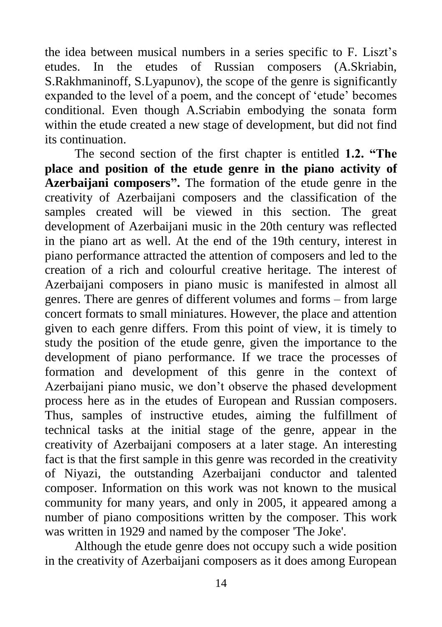the idea between musical numbers in a series specific to F. Liszt"s etudes. In the etudes of Russian composers (A.Skriabin, S.Rakhmaninoff, S.Lyapunov), the scope of the genre is significantly expanded to the level of a poem, and the concept of "etude" becomes conditional. Even though A.Scriabin embodying the sonata form within the etude created a new stage of development, but did not find its continuation.

The second section of the first chapter is entitled **1.2. "The place and position of the etude genre in the piano activity of Azerbaijani composers".** The formation of the etude genre in the creativity of Azerbaijani composers and the classification of the samples created will be viewed in this section. The great development of Azerbaijani music in the 20th century was reflected in the piano art as well. At the end of the 19th century, interest in piano performance attracted the attention of composers and led to the creation of a rich and colourful creative heritage. The interest of Azerbaijani composers in piano music is manifested in almost all genres. There are genres of different volumes and forms – from large concert formats to small miniatures. However, the place and attention given to each genre differs. From this point of view, it is timely to study the position of the etude genre, given the importance to the development of piano performance. If we trace the processes of formation and development of this genre in the context of Azerbaijani piano music, we don"t observe the phased development process here as in the etudes of European and Russian composers. Thus, samples of instructive etudes, aiming the fulfillment of technical tasks at the initial stage of the genre, appear in the creativity of Azerbaijani composers at a later stage. An interesting fact is that the first sample in this genre was recorded in the creativity of Niyazi, the outstanding Azerbaijani conductor and talented composer. Information on this work was not known to the musical community for many years, and only in 2005, it appeared among a number of piano compositions written by the composer. This work was written in 1929 and named by the composer 'The Joke'.

Although the etude genre does not occupy such a wide position in the creativity of Azerbaijani composers as it does among European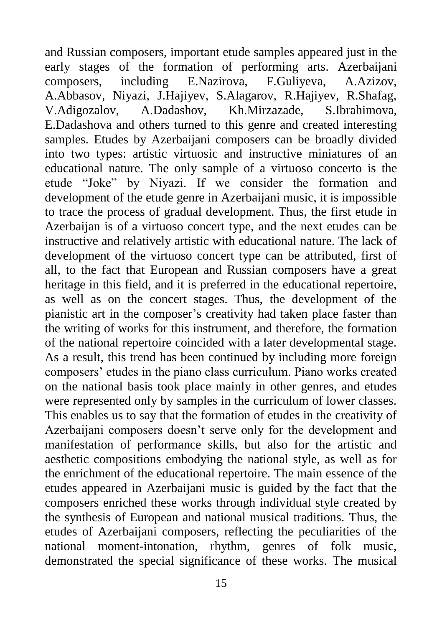and Russian composers, important etude samples appeared just in the early stages of the formation of performing arts. Azerbaijani composers, including E.Nazirova, F.Guliyeva, A.Azizov, A.Abbasov, Niyazi, J.Hajiyev, S.Alagarov, R.Hajiyev, R.Shafag, V.Adigozalov, A.Dadashov, Kh.Mirzazade, S.Ibrahimova, E.Dadashova and others turned to this genre and created interesting samples. Etudes by Azerbaijani composers can be broadly divided into two types: artistic virtuosic and instructive miniatures of an educational nature. The only sample of a virtuoso concerto is the etude "Joke" by Niyazi. If we consider the formation and development of the etude genre in Azerbaijani music, it is impossible to trace the process of gradual development. Thus, the first etude in Azerbaijan is of a virtuoso concert type, and the next etudes can be instructive and relatively artistic with educational nature. The lack of development of the virtuoso concert type can be attributed, first of all, to the fact that European and Russian composers have a great heritage in this field, and it is preferred in the educational repertoire, as well as on the concert stages. Thus, the development of the pianistic art in the composer"s creativity had taken place faster than the writing of works for this instrument, and therefore, the formation of the national repertoire coincided with a later developmental stage. As a result, this trend has been continued by including more foreign composers" etudes in the piano class curriculum. Piano works created on the national basis took place mainly in other genres, and etudes were represented only by samples in the curriculum of lower classes. This enables us to say that the formation of etudes in the creativity of Azerbaijani composers doesn't serve only for the development and manifestation of performance skills, but also for the artistic and aesthetic compositions embodying the national style, as well as for the enrichment of the educational repertoire. The main essence of the etudes appeared in Azerbaijani music is guided by the fact that the composers enriched these works through individual style created by the synthesis of European and national musical traditions. Thus, the etudes of Azerbaijani composers, reflecting the peculiarities of the national moment-intonation, rhythm, genres of folk music, demonstrated the special significance of these works. The musical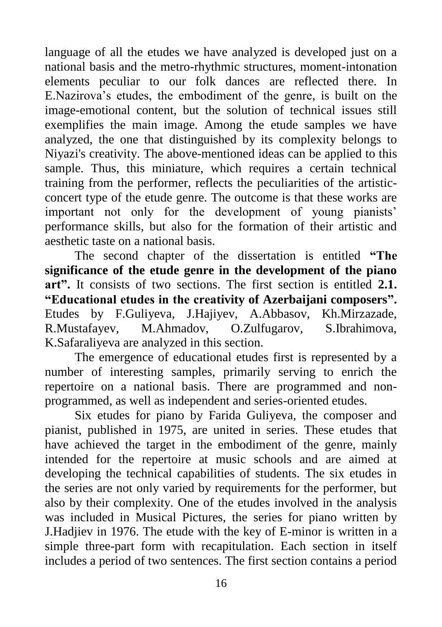language of all the etudes we have analyzed is developed just on a national basis and the metro-rhythmic structures, moment-intonation elements peculiar to our folk dances are reflected there. In E.Nazirova"s etudes, the embodiment of the genre, is built on the image-emotional content, but the solution of technical issues still exemplifies the main image. Among the etude samples we have analyzed, the one that distinguished by its complexity belongs to Niyazi's creativity. The above-mentioned ideas can be applied to this sample. Thus, this miniature, which requires a certain technical training from the performer, reflects the peculiarities of the artisticconcert type of the etude genre. The outcome is that these works are important not only for the development of young pianists' performance skills, but also for the formation of their artistic and aesthetic taste on a national basis.

The second chapter of the dissertation is entitled **"The significance of the etude genre in the development of the piano art".** It consists of two sections. The first section is entitled **2.1. "Educational etudes in the creativity of Azerbaijani composers".** Etudes by F.Guliyeva, J.Hajiyev, A.Abbasov, Kh.Mirzazade, R.Mustafayev, M.Ahmadov, O.Zulfugarov, S.Ibrahimova, K.Safaraliyeva are analyzed in this section.

The emergence of educational etudes first is represented by a number of interesting samples, primarily serving to enrich the repertoire on a national basis. There are programmed and nonprogrammed, as well as independent and series-oriented etudes.

Six etudes for piano by Farida Guliyeva, the composer and pianist, published in 1975, are united in series. These etudes that have achieved the target in the embodiment of the genre, mainly intended for the repertoire at music schools and are aimed at developing the technical capabilities of students. The six etudes in the series are not only varied by requirements for the performer, but also by their complexity. One of the etudes involved in the analysis was included in Musical Pictures, the series for piano written by J.Hadjiev in 1976. The etude with the key of E-minor is written in a simple three-part form with recapitulation. Each section in itself includes a period of two sentences. The first section contains a period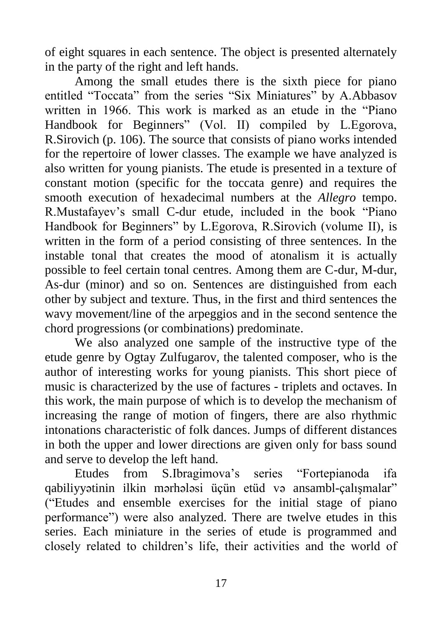of eight squares in each sentence. The object is presented alternately in the party of the right and left hands.

Among the small etudes there is the sixth piece for piano entitled "Toccata" from the series "Six Miniatures" by A.Abbasov written in 1966. This work is marked as an etude in the "Piano Handbook for Beginners" (Vol. II) compiled by L.Egorova, R.Sirovich (p. 106). The source that consists of piano works intended for the repertoire of lower classes. The example we have analyzed is also written for young pianists. The etude is presented in a texture of constant motion (specific for the toccata genre) and requires the smooth execution of hexadecimal numbers at the *Allegro* tempo. R.Mustafayev"s small C-dur etude, included in the book "Piano Handbook for Beginners" by L.Egorova, R.Sirovich (volume II), is written in the form of a period consisting of three sentences. In the instable tonal that creates the mood of atonalism it is actually possible to feel certain tonal centres. Among them are C-dur, M-dur, As-dur (minor) and so on. Sentences are distinguished from each other by subject and texture. Thus, in the first and third sentences the wavy movement/line of the arpeggios and in the second sentence the chord progressions (or combinations) predominate.

We also analyzed one sample of the instructive type of the etude genre by Ogtay Zulfugarov, the talented composer, who is the author of interesting works for young pianists. This short piece of music is characterized by the use of factures - triplets and octaves. In this work, the main purpose of which is to develop the mechanism of increasing the range of motion of fingers, there are also rhythmic intonations characteristic of folk dances. Jumps of different distances in both the upper and lower directions are given only for bass sound and serve to develop the left hand.

Etudes from S.Ibragimova"s series "Fortepianoda ifa qabiliyyətinin ilkin mərhələsi üçün etüd və ansambl-çalışmalar" ("Etudes and ensemble exercises for the initial stage of piano performance") were also analyzed. There are twelve etudes in this series. Each miniature in the series of etude is programmed and closely related to children"s life, their activities and the world of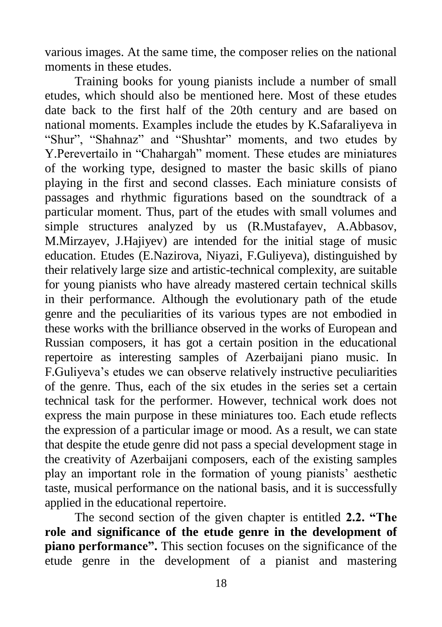various images. At the same time, the composer relies on the national moments in these etudes.

Training books for young pianists include a number of small etudes, which should also be mentioned here. Most of these etudes date back to the first half of the 20th century and are based on national moments. Examples include the etudes by K.Safaraliyeva in "Shur", "Shahnaz" and "Shushtar" moments, and two etudes by Y.Perevertailo in "Chahargah" moment. These etudes are miniatures of the working type, designed to master the basic skills of piano playing in the first and second classes. Each miniature consists of passages and rhythmic figurations based on the soundtrack of a particular moment. Thus, part of the etudes with small volumes and simple structures analyzed by us (R.Mustafayev, A.Abbasov, M.Mirzayev, J.Hajiyev) are intended for the initial stage of music education. Etudes (E.Nazirova, Niyazi, F.Guliyeva), distinguished by their relatively large size and artistic-technical complexity, are suitable for young pianists who have already mastered certain technical skills in their performance. Although the evolutionary path of the etude genre and the peculiarities of its various types are not embodied in these works with the brilliance observed in the works of European and Russian composers, it has got a certain position in the educational repertoire as interesting samples of Azerbaijani piano music. In F.Guliyeva"s etudes we can observe relatively instructive peculiarities of the genre. Thus, each of the six etudes in the series set a certain technical task for the performer. However, technical work does not express the main purpose in these miniatures too. Each etude reflects the expression of a particular image or mood. As a result, we can state that despite the etude genre did not pass a special development stage in the creativity of Azerbaijani composers, each of the existing samples play an important role in the formation of young pianists" aesthetic taste, musical performance on the national basis, and it is successfully applied in the educational repertoire.

The second section of the given chapter is entitled **2.2. "The role and significance of the etude genre in the development of piano performance".** This section focuses on the significance of the etude genre in the development of a pianist and mastering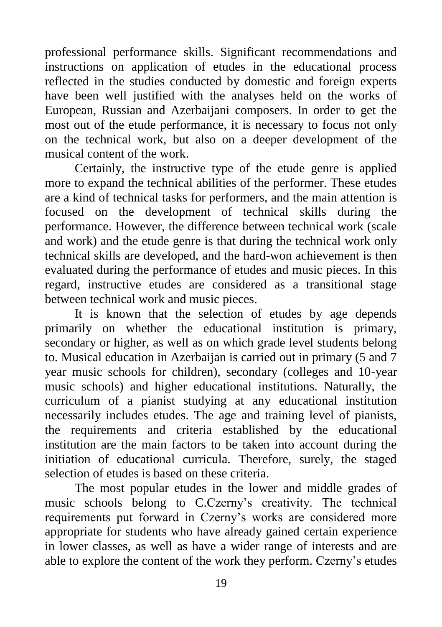professional performance skills. Significant recommendations and instructions on application of etudes in the educational process reflected in the studies conducted by domestic and foreign experts have been well justified with the analyses held on the works of European, Russian and Azerbaijani composers. In order to get the most out of the etude performance, it is necessary to focus not only on the technical work, but also on a deeper development of the musical content of the work.

Certainly, the instructive type of the etude genre is applied more to expand the technical abilities of the performer. These etudes are a kind of technical tasks for performers, and the main attention is focused on the development of technical skills during the performance. However, the difference between technical work (scale and work) and the etude genre is that during the technical work only technical skills are developed, and the hard-won achievement is then evaluated during the performance of etudes and music pieces. In this regard, instructive etudes are considered as a transitional stage between technical work and music pieces.

It is known that the selection of etudes by age depends primarily on whether the educational institution is primary, secondary or higher, as well as on which grade level students belong to. Musical education in Azerbaijan is carried out in primary (5 and 7 year music schools for children), secondary (colleges and 10-year music schools) and higher educational institutions. Naturally, the curriculum of a pianist studying at any educational institution necessarily includes etudes. The age and training level of pianists, the requirements and criteria established by the educational institution are the main factors to be taken into account during the initiation of educational curricula. Therefore, surely, the staged selection of etudes is based on these criteria.

The most popular etudes in the lower and middle grades of music schools belong to C.Czerny"s creativity. The technical requirements put forward in Czerny"s works are considered more appropriate for students who have already gained certain experience in lower classes, as well as have a wider range of interests and are able to explore the content of the work they perform. Czerny"s etudes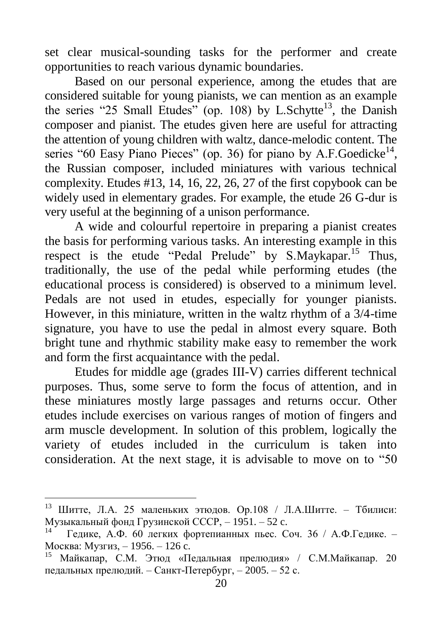set clear musical-sounding tasks for the performer and create opportunities to reach various dynamic boundaries.

Based on our personal experience, among the etudes that are considered suitable for young pianists, we can mention as an example the series "25 Small Etudes" (op. 108) by L.Schytte<sup>13</sup>, the Danish composer and pianist. The etudes given here are useful for attracting the attention of young children with waltz, dance-melodic content. The series "60 Easy Piano Pieces" (op. 36) for piano by A.F.Goedicke<sup>14</sup>, the Russian composer, included miniatures with various technical complexity. Etudes #13, 14, 16, 22, 26, 27 of the first copybook can be widely used in elementary grades. For example, the etude 26 G-dur is very useful at the beginning of a unison performance.

A wide and colourful repertoire in preparing a pianist creates the basis for performing various tasks. An interesting example in this respect is the etude "Pedal Prelude" by S.Maykapar.<sup>15</sup> Thus, traditionally, the use of the pedal while performing etudes (the educational process is considered) is observed to a minimum level. Pedals are not used in etudes, especially for younger pianists. However, in this miniature, written in the waltz rhythm of a 3/4-time signature, you have to use the pedal in almost every square. Both bright tune and rhythmic stability make easy to remember the work and form the first acquaintance with the pedal.

Etudes for middle age (grades III-V) carries different technical purposes. Thus, some serve to form the focus of attention, and in these miniatures mostly large passages and returns occur. Other etudes include exercises on various ranges of motion of fingers and arm muscle development. In solution of this problem, logically the variety of etudes included in the curriculum is taken into consideration. At the next stage, it is advisable to move on to "50

<sup>13</sup> Шитте, Л.А. 25 маленьких этюдов. Ор.108 / Л.А.Шитте. – Тбилиси: Музыкальный фонд Грузинской СССР, – 1951. – 52 c.

<sup>14</sup> Гедике, А.Ф. 60 легких фортепианных пьес. Соч. 36 / А.Ф.Гедике. – Москва: Музгиз, – 1956. – 126 c.

<sup>15</sup> Майкапар, С.М. Этюд «Педальная прелюдия» / С.М.Майкапар. 20 педальных прелюдий. – Санкт-Петербург, – 2005. – 52 с.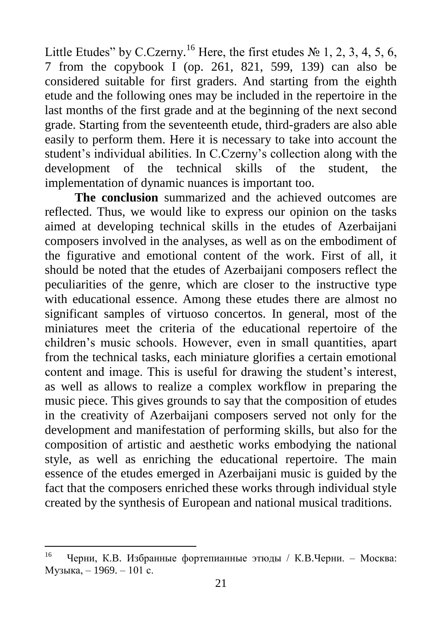Little Etudes" by C.Czerny.<sup>16</sup> Here, the first etudes  $N<sub>2</sub>$  1, 2, 3, 4, 5, 6, 7 from the copybook I (op. 261, 821, 599, 139) can also be considered suitable for first graders. And starting from the eighth etude and the following ones may be included in the repertoire in the last months of the first grade and at the beginning of the next second grade. Starting from the seventeenth etude, third-graders are also able easily to perform them. Here it is necessary to take into account the student"s individual abilities. In C.Czerny"s collection along with the development of the technical skills of the student, the implementation of dynamic nuances is important too.

**The conclusion** summarized and the achieved outcomes are reflected. Thus, we would like to express our opinion on the tasks aimed at developing technical skills in the etudes of Azerbaijani composers involved in the analyses, as well as on the embodiment of the figurative and emotional content of the work. First of all, it should be noted that the etudes of Azerbaijani composers reflect the peculiarities of the genre, which are closer to the instructive type with educational essence. Among these etudes there are almost no significant samples of virtuoso concertos. In general, most of the miniatures meet the criteria of the educational repertoire of the children"s music schools. However, even in small quantities, apart from the technical tasks, each miniature glorifies a certain emotional content and image. This is useful for drawing the student"s interest, as well as allows to realize a complex workflow in preparing the music piece. This gives grounds to say that the composition of etudes in the creativity of Azerbaijani composers served not only for the development and manifestation of performing skills, but also for the composition of artistic and aesthetic works embodying the national style, as well as enriching the educational repertoire. The main essence of the etudes emerged in Azerbaijani music is guided by the fact that the composers enriched these works through individual style created by the synthesis of European and national musical traditions.

 $\frac{1}{16}$  Черни, К.B. Избранные фортепианные этюды / К.B.Черни. – Москва: Музыка, – 1969. – 101 с.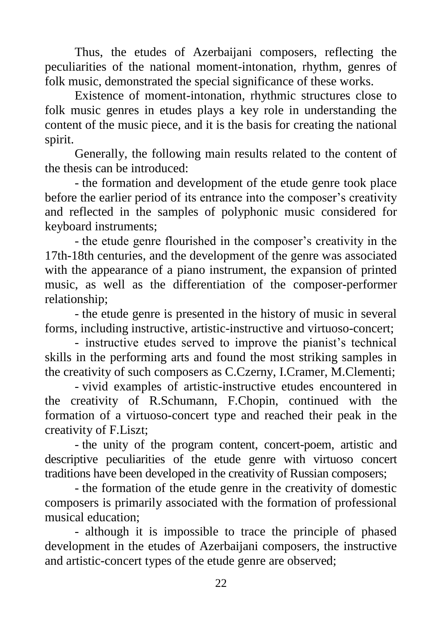Thus, the etudes of Azerbaijani composers, reflecting the peculiarities of the national moment-intonation, rhythm, genres of folk music, demonstrated the special significance of these works.

Existence of moment-intonation, rhythmic structures close to folk music genres in etudes plays a key role in understanding the content of the music piece, and it is the basis for creating the national spirit.

Generally, the following main results related to the content of the thesis can be introduced:

- the formation and development of the etude genre took place before the earlier period of its entrance into the composer's creativity and reflected in the samples of polyphonic music considered for keyboard instruments;

- the etude genre flourished in the composer"s creativity in the 17th-18th centuries, and the development of the genre was associated with the appearance of a piano instrument, the expansion of printed music, as well as the differentiation of the composer-performer relationship;

- the etude genre is presented in the history of music in several forms, including instructive, artistic-instructive and virtuoso-concert;

- instructive etudes served to improve the pianist's technical skills in the performing arts and found the most striking samples in the creativity of such composers as C.Czerny, I.Cramer, M.Clementi;

- vivid examples of artistic-instructive etudes encountered in the creativity of R.Schumann, F.Chopin, continued with the formation of a virtuoso-concert type and reached their peak in the creativity of F.Liszt;

- the unity of the program content, concert-poem, artistic and descriptive peculiarities of the etude genre with virtuoso concert traditions have been developed in the creativity of Russian composers;

- the formation of the etude genre in the creativity of domestic composers is primarily associated with the formation of professional musical education;

- although it is impossible to trace the principle of phased development in the etudes of Azerbaijani composers, the instructive and artistic-concert types of the etude genre are observed;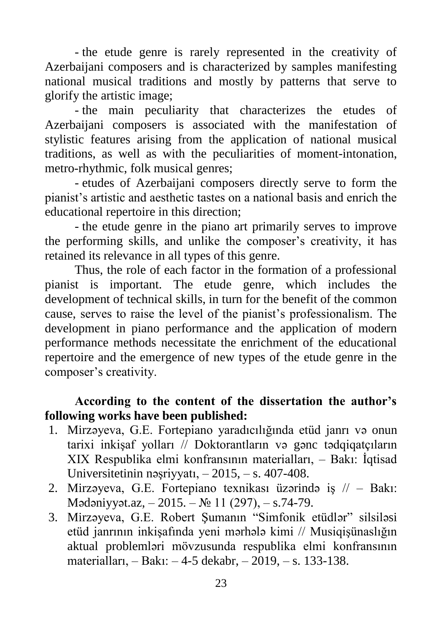- the etude genre is rarely represented in the creativity of Azerbaijani composers and is characterized by samples manifesting national musical traditions and mostly by patterns that serve to glorify the artistic image;

- the main peculiarity that characterizes the etudes of Azerbaijani composers is associated with the manifestation of stylistic features arising from the application of national musical traditions, as well as with the peculiarities of moment-intonation, metro-rhythmic, folk musical genres;

- etudes of Azerbaijani composers directly serve to form the pianist"s artistic and aesthetic tastes on a national basis and enrich the educational repertoire in this direction;

- the etude genre in the piano art primarily serves to improve the performing skills, and unlike the composer's creativity, it has retained its relevance in all types of this genre.

Thus, the role of each factor in the formation of a professional pianist is important. The etude genre, which includes the development of technical skills, in turn for the benefit of the common cause, serves to raise the level of the pianist"s professionalism. The development in piano performance and the application of modern performance methods necessitate the enrichment of the educational repertoire and the emergence of new types of the etude genre in the composer"s creativity.

### **According to the content of the dissertation the author's following works have been published:**

- 1. Mirzəyeva, G.E. Fortepiano yaradıcılığında etüd janrı və onun tarixi inkişaf yolları // Doktorantların və gənc tədqiqatçıların XIX Respublika elmi konfransının materialları, – Bakı: İqtisad Universitetinin nəşriyyatı, – 2015, – s. 407-408.
- 2. Mirzəyeva, G.E. Fortepiano texnikası üzərində iş // Bakı: Mədəniyyət.az, – 2015. – № 11 (297), – s.74-79.
- 3. Mirzəyeva, G.E. Robert Şumanın "Simfonik etüdlər" silsiləsi etüd janrının inkişafında yeni mərhələ kimi // Musiqişünaslığın aktual problemləri mövzusunda respublika elmi konfransının materialları, – Bakı: – 4-5 dekabr, – 2019, – s. 133-138.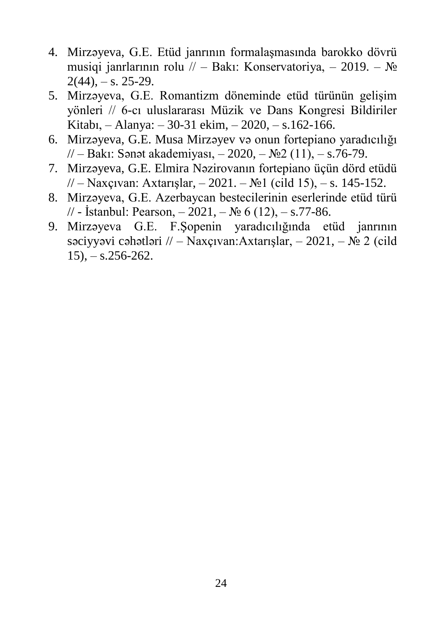- 4. Mirzəyeva, G.E. Etüd janrının formalaşmasında barokko dövrü musiqi janrlarının rolu // – Bakı: Konservatoriya, – 2019. – №  $2(44)$ ,  $-$  s. 25-29.
- 5. Mirzəyeva, G.E. Romantizm döneminde etüd türünün gelişim yönleri // 6-cı uluslararası Müzik ve Dans Kongresi Bildiriler Kitabı, – Alanya: – 30-31 ekim, – 2020, – s.162-166.
- 6. Mirzəyeva, G.E. Musa Mirzəyev və onun fortepiano yaradıcılığı // – Bakı: Sənət akademiyası, – 2020, – №2 (11), – s.76-79.
- 7. Mirzəyeva, G.E. Elmira Nəzirovanın fortepiano üçün dörd etüdü // – Naxçıvan: Axtarışlar, – 2021. – №1 (cild 15), – s. 145-152.
- 8. Mirzəyeva, G.E. Azerbaycan bestecilerinin eserlerinde etüd türü // - İstanbul: Pearson, – 2021, – № 6 (12), – s.77-86.
- 9. Mirzəyeva G.E. F.Şopenin yaradıcılığında etüd janrının səciyyəvi cəhətləri // – Naxçıvan:Axtarışlar, – 2021, –  $\mathbb{N}^2$  2 (cild  $15$ ),  $-$  s.256-262.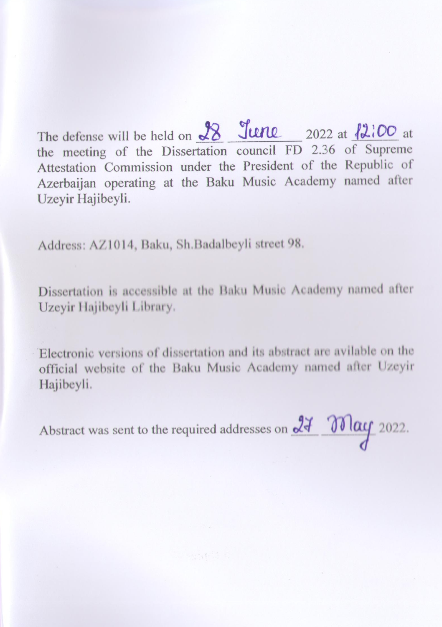The defense will be held on  $\frac{98}{2022}$   $\frac{5}{2022}$  at  $\frac{12,00}{202}$  at the meeting of the Dissertation council FD 2.36 of Supreme Attestation Commission under the President of the Republic of zerbajian operating at the Baku Music Academy named after Azerbaijan operating at the Baku Music Academy named after the Baku Music Academy named after the Baku Music A Uzeyir Hajibeyli.

Address: AZ1014, Baku, Sh.Badalbeyli street 98.

Dissertation is accessible at the Baku Music Academy named after Uzeyir Hajibeyli Library.

Electronic versions of dissertation and its abstract are avilable on the official website of the Baku Music Academy named after Uzeyir Hajibeyli.

Abstract was sent to the required addresses on  $\frac{24}{\sqrt{3}}$   $\frac{2022}{\sqrt{3}}$ .